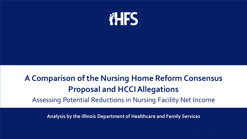

# **A Comparison of the Nursing Home Reform Consensus Proposal and HCCI Allegations** Assessing Potential Reductions in Nursing Facility Net Income

**Analysis by the Illinois Department of Healthcare and Family Services**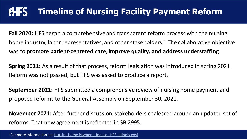#### **FHFS Timeline of Nursing Facility Payment Reform**

**Fall 2020:** HFS began a comprehensive and transparent reform process with the nursing home industry, labor representatives, and other stakeholders.<sup>1</sup> The collaborative objective was to **promote patient-centered care, improve quality, and address understaffing**.

**Spring 2021:** As a result of that process, reform legislation was introduced in spring 2021. Reform was not passed, but HFS was asked to produce a report.

**September 2021**: HFS submitted a comprehensive review of nursing home payment and proposed reforms to the General Assembly on September 30, 2021.

**November 2021:** After further discussion, stakeholders coalesced around an updated set of reforms. That new agreement is reflected in SB 2995.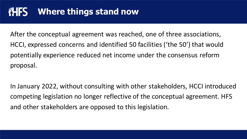#### **AHFS Where things stand now**

After the conceptual agreement was reached, one of three associations, HCCI, expressed concerns and identified 50 facilities ('the 50') that would potentially experience reduced net income under the consensus reform proposal.

In January 2022, without consulting with other stakeholders, HCCI introduced competing legislation no longer reflective of the conceptual agreement. HFS and other stakeholders are opposed to this legislation.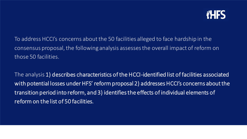

To address HCCI's concerns about the 50 facilities alleged to face hardship in the consensus proposal, the following analysis assesses the overall impact of reform on those 50 facilities.

The analysis 1) describes characteristics of the HCCI-identified list of facilities associated with potential losses under HFS' reform proposal 2) addresses HCCI's concerns about the transition period into reform, and 3) identifies the effects of individual elements of reform on the list of 50 facilities.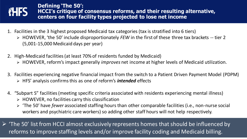

**Defining 'The 50': HCCI's critique of consensus reforms, and their resulting alternative, centers on four facility types projected to lose net income**

- 1. Facilities in the 3 highest proposed Medicaid tax categories (tax is stratified into 6 tiers)
	- ➢ HOWEVER, 'the 50' include disproportionately *FEW* in the first of these three tax brackets -- tier 2 (5,001-15,000 Medicaid days per year)
- 2. High-Medicaid facilities (at least 70% of residents funded by Medicaid)
	- ➢ HOWEVER, reform's impact generally *improves* net income at higher levels of Medicaid utilization.
- 3. Facilities experiencing negative financial impact from the switch to a Patient Driven Payment Model (PDPM) ➢ HFS' analysis confirms this as one of reform's *intended* effects
- 4. "Subpart S" facilities (meeting specific criteria associated with residents experiencing mental illness)
	- $\triangleright$  HOWEVER, no facilities carry this classification
	- ➢ 'The 50' have *fewer* associated staffing hours than other comparable facilities (i.e., non-nurse social workers and psychiatric care workers) so adding other staff hours will not help respectively.

 $\triangleright$  'The 50' list from HCCI almost exclusively represents homes that should be influenced by reforms to improve staffing levels and/or improve facility coding and Medicaid billing.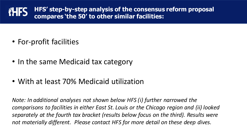**HFS' step-by-step analysis of the consensus reform proposal FHFS compares 'the 50' to other similar facilities:**

- For-profit facilities
- In the same Medicaid tax category
- With at least 70% Medicaid utilization

*Note: In additional analyses not shown below HFS (i) further narrowed the comparisons to facilities in either East St. Louis or the Chicago region and (ii) looked separately at the fourth tax bracket (results below focus on the third). Results were not materially different. Please contact HFS for more detail on these deep dives.*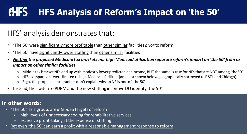### **THES HFS Analysis of Reform's Impact on 'the 50'**

### HFS' analysis demonstrates that:

- 'The 50' were significantly more profitablethan other similar facilities *prior* to reform
- 'The 50' have significantly lower staffing than other similar facilities
- *Neitherthe proposed Medicaid tax brackets nor high Medicaid utilization separate reform's impact on 'the 50' from its impact on other similar facilities.*
	- Middle tax bracket NFs end up with modestly lower predicted net income, BUT the same is true for NFs that are NOT among 'the 50'
	- o HFS' comparisons were limited to high-Medicaid facilities (and, not shown below, geographically narrowed to E STL and Chicago)
	- o Ergo, the proposed tax brackets don't explain why an NF is one of 'the 50'
- Instead, the switch to PDPM and the new staffing incentive DO identify 'the 50'

### **In other words:**

- 'The 50,' as a group, are *intended* targets of reform
	- ➢ high levels of unnecessary coding for rehabilitative services
	- ➢ excessive profit-taking at the expense of staffing
- Yet even 'the 50' can earn a profit with a reasonable management response to reform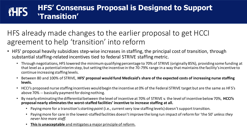#### **HFS' Consensus Proposal is Designed to Support iHFS 'Transition'**

## HFS already made changes to the earlier proposal to get HCCI agreement to help 'transition' into reform

- HFS' proposal heavily subsidizes step-wise increases in staffing, the principal cost of transition, through substantial staffing-related incentives tied to federal STRIVE staffing metric.
	- Through negotiations, HFS lowered the minimum qualifying percentage to 70% of STRIVE (originally 85%), providing some funding at that level as a potential interim step, but setting the incentive in the 70-79% range in a way that maintains the facility's incentive to continue increasing staffing levels.
	- Between 80 and 100% of STRIVE, **HFS' proposal would fund Medicaid's share of the expected costs of increasing nurse staffing levels.**
	- HCCI's proposed nurse staffing incentives would begin the incentive at 0% of the Federal STRIVE target but are the same as HFS's above 70% -- basically payment for doing nothing.
	- By nearly eliminating the differential between the level of incentive at 70% of STRIVE v. the level of incentive below 70%, **HCCI's proposal nearly eliminatesthe worst-staffed facilities' incentive to increase staffing at all.**
		- Paying more for a transition's *starting point* (i.e., current very low staffing levels) doesn't support transition.
		- Paying more for care in the lowest-staffed facilities doesn't improve the long run impact of reform for 'the 50' *unless they never hire more staff.*
		- **This is unacceptable** and mitigates a major principle of reform.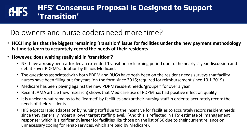#### **HFS' Consensus Proposal is Designed to Support iHFS 'Transition'**

### Do owners and nurse coders need more time?

- **HCCI implies that the biggest remaining 'transition' issue for facilities under the new payment methodology is time to learn to accurately record the needs of their residents**
- **However, does waiting really aid in 'transition'?** 
	- NFs have **already** been afforded an extended 'transition' or learning period due to the nearly 2-year discussion and debate over PDPM's adoption by Illinois Medicaid.
	- The questions associated with both PDPM and RUGs have both been on the resident needs surveys that facility nurses have been filling out for years (on the form since 2016; required for reimbursement since 10.1.2019)
	- Medicare has been paying against the new PDPM resident needs 'grouper' for over a year.
	- Recent JAMA article (new research) shows that Medicare use of PDPM has had positive effect on quality.
	- It is unclear what remains to be 'learned' by facilities and/or their nursing staff in order to accurately record the needs of their residents.
	- HFS expects rapid adaptation by nursing staff due to the incentive for facilities to accurately record resident needs since they generally impart a lower target staffing level. (And this is reflected in HFS' estimate of 'management response,' which is significantly larger for facilities like those on the list of 50 due to their current reliance on unnecessary coding for rehab services, which are paid by Medicare).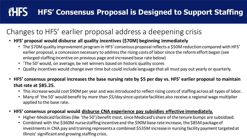#### **AHES HFS' Consensus Proposal is Designed to Support Staffing**

## Changes to HFS' earlier proposal address a deepening crisis

- **HFS' proposal would disburse all quality incentives (\$70M) beginning immediately**
	- The \$70M quality improvement program in HFS' consensus proposal reflects a \$50M reduction compared with HFS' earlier proposal, a concession necessary to address the rising costs of labor since the reform effort began (see enlarged staffing incentive on previous page and increased base rate below)
	- 'The 50' would, on average, be net winners based on historic quality scores
	- Quality incentives would change over time but could include language that all must pay out yearly or quarterly.
- **HFS' consensus proposal increases the base nursing rate by \$5 per day vs. HFS' earlier proposal to maintain that rate at \$85.25.**
	- This increase would cost \$90M per year and was introduced to reflect rising costs of staffing across all types of labor.
	- Many of 'the 50' would benefit by *more than \$5/day* since upstate facilities also receive a regional wage multiplier applied to the base rate.

### • **HFS' consensus proposal would disburse CNA experience pay subsidies effective immediately.**

- Higher-Medicaid facilities (like 'the 50') benefit most, since Medicaid's share of the tenure bumps are subsidized.
- Combined with the \$360M nurse staffing incentive and the \$90M base rate increase, the \$85M package of investments in CNA pay and training represents a combined \$535M increase in nursing facility payment targeted at Illinois' significant and growing staffing crisis.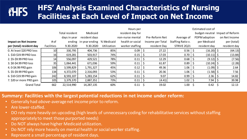#### **HFS' Analysis Examined Characteristics of Nursing iHFS Facilities at Each Level of Impact on Net Income**

|                             |                   |                |                       |             | Hours per        |                  |                   | Estimated cost of               |               |
|-----------------------------|-------------------|----------------|-----------------------|-------------|------------------|------------------|-------------------|---------------------------------|---------------|
|                             |                   | Total resident | Medicaid              |             | resident day for |                  |                   | budget-neutral Impact of Reform |               |
|                             |                   | days in year   | resident days         |             | non-nurse mental | Pre-Reform Net   | Average of        | PDPM adoption                   | on Net Income |
| <b>Impact on Net Income</b> | # of              |                | ending in year ending | % Medicaid  | health or social | Income per Total | Staffing Ratio v. | per Medicaid                    | per (total)   |
| per (total) resident day    | <b>Facilities</b> | 9.30.2020      | 9.30.2020             | Utilization | worker staffing  | resident Day     | STRIVE 2Q21       | resident day                    | resident day  |
| 0. At least \$20 PRD loss   | 10                | 330,795        | 404,736               | 85%         | 0.09             | 27.22            | 0.56              | $(16.20)$ \$                    | (64.13)       |
| 1. \$10-\$19.99 PRD loss    | 16                | 619,281        | 503,917               | 74%         | 0.15             | 17.03            | 0.70              | $(10.11)$   \$                  | (13.84)       |
| 2. \$5-\$9.99 PRD loss      | 14                | 556,097        | 429,521               | 78%         | 0.11             | 12.29            | 0.68              | $(9.12)$ \$                     | (7.56)        |
| 3. \$0-\$4.99 PRD loss      | 35                | 1,064,441      | 671,036               | 59%         | 0.11             | 61.87            | 0.89              | $(10.24)$ \$                    | (2.28)        |
| 4. 0-\$4.99 PRD gain        | 106               | 3,599,829      | 1,791,327             | 45%         | 0.12             | 49.36            | 1.06              | $(1.09)$   \$                   | 2.64          |
| 5. \$5-\$9.99 PRD gain      | 134               | 4,372,070      | 2,316,093             | 53%         | 0.11             | 20.36            | 1.06              | $(1.58)$ \$                     | 7.56          |
| 6. \$10-\$19.99 PRD gain    | 242               | 8,593,107      | 5,283,154             | 62%         | 0.11             | 9.07             | 0.99              | 2.36                            | 14.82         |
| 7. \$20 or more PRD gain    | 105               | 3,379,370      | 2,887,351             | 73%         | 0.11             | (4.41)           | $1.02$   \$       | 7.94                            | 39.98         |
| <b>Grand Total</b>          | 662               | 22,514,990     | 14,287,135            | 60%         | 0.11             | 19.02            | $1.00\frac{1}{5}$ | 0.42                            | 12.13         |

#### **Summary: Facilities with the largest potential reductions in net income under reform:**

- Generally had *above*-average net income prior to reform.
- Are lower-staffed.
- DO rely more heavily on upcoding (high levels of unnecessary coding for rehabilitative services without staffing appropriately to meet those purported needs)
- Do NOT always have higher Medicaid utilization.
- Do NOT rely more heavily on mental health or social worker staffing.
- Represent a small percentage of resident days.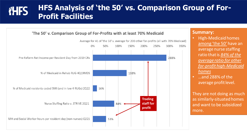#### **HFS Analysis of 'the 50' vs. Comparison Group of ForiHFS Profit Facilities**



#### **Summary:**

- High-Medicaid homes among 'the 50' have an average nurse staffing ratio that is *84% of the average ratio for other for-profit high-Medicaid homes*
- …and 288% of the average profit level.

They are not doing as much as similarly-situated homes and want to be subsidized more.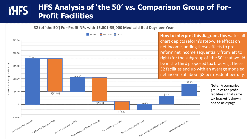#### **HFS Analysis of 'the 50' vs. Comparison Group of ForiHFS Profit Facilities**

32 (of 'the 50') For-Profit NFs with 15,001-35,000 Medicaid Bed Days per Year



**How to interpret this diagram.** This waterfall chart depicts reform's step-wise effects on net income, adding those effects to prereform net income sequentially from left to right (for the subgroup of 'the 50' that would be in the third proposed tax bracket). These 32 facilities end up with an average modeled net income of about \$8 per resident per day.

> Note: A comparison group of for-profit facilities in that same tax bracket is shown on the next page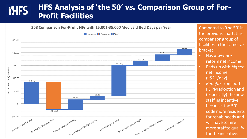#### **HFS Analysis of 'the 50' vs. Comparison Group of ForiHFS Profit Facilities**



Compared to 'the 50' in the previous chart, this comparison group of facilities in the same tax bracket:

- Has *lower* prereform net income
- Ends up with *higher* net income (~\$21/day)
- *Benefits*from both PDPM adoption and (especially) the new staffing incentive, because 'the 50' code more residents for rehab needs and will have to hire more staff to qualify for the incentive.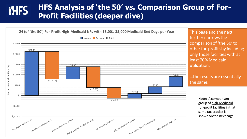#### **HFS Analysis of 'the 50' vs. Comparison Group of ForiHFS Profit Facilities (deeper dive)**



further narrows the comparison of 'the 50' to other for-profits by including only those facilities with at least 70% Medicaid utilization.

#### …the results are essentially the same.

Note: A comparison group of high-Medicaid for-profit facilities in that same tax bracket is shown on the next page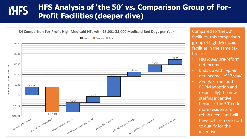#### **HFS Analysis of 'the 50' vs. Comparison Group of ForiHFS Profit Facilities (deeper dive)**



Compared to 'the 50' facilities, this comparison group of high-Medicaid facilities in the same tax bracket:

- Has *lower* pre-reform net income
- Ends up with *higher* net income (~\$17/day)
- *Benefits*from both PDPM adoption and (especially) the new staffing incentive, because 'the 50' code more residents for rehab needs and will have to hire more staff to qualify for the incentive.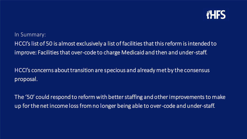

In Summary:

HCCI's list of 50 is almost exclusively a list of facilities that this reform is intended to improve: Facilities that over-code to charge Medicaid and then and under-staff.

HCCI's concerns about transition are specious and already met by the consensus proposal.

The '50' could respond to reform with better staffing and other improvements to make up for the net income loss from no longer being able to over-code and under-staff.